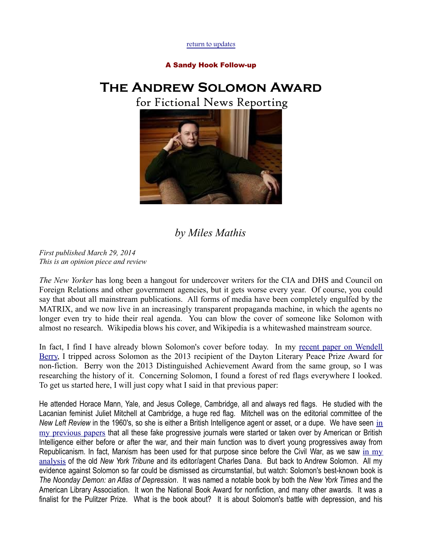[return to updates](http://milesmathis.com/sol.pdf)

## A Sandy Hook Follow-up

## **The Andrew Solomon Award**

for Fictional News Reporting



## *by Miles Mathis*

*First published March 29, 2014 This is an opinion piece and review*

*The New Yorker* has long been a hangout for undercover writers for the CIA and DHS and Council on Foreign Relations and other government agencies, but it gets worse every year. Of course, you could say that about all mainstream publications. All forms of media have been completely engulfed by the MATRIX, and we now live in an increasingly transparent propaganda machine, in which the agents no longer even try to hide their real agenda. You can blow the cover of someone like Solomon with almost no research. Wikipedia blows his cover, and Wikipedia is a whitewashed mainstream source.

In fact, I find I have already blown Solomon's cover before today. In my [recent paper on Wendell](http://mileswmathis.com/berry.pdf) [Berry,](http://mileswmathis.com/berry.pdf) I tripped across Solomon as the 2013 recipient of the Dayton Literary Peace Prize Award for non-fiction. Berry won the 2013 Distinguished Achievement Award from the same group, so I was researching the history of it. Concerning Solomon, I found a forest of red flags everywhere I looked. To get us started here, I will just copy what I said in that previous paper:

He attended Horace Mann, Yale, and Jesus College, Cambridge, all and always red flags. He studied with the Lacanian feminist Juliet Mitchell at Cambridge, a huge red flag. Mitchell was on the editorial committee of the *New Left Review* [in](http://mileswmathis.com/stoner.pdf) the 1960's, so she is either a British Intelligence agent or asset, or a dupe. We have seen in [my previous papers](http://mileswmathis.com/stoner.pdf) that all these fake progressive journals were started or taken over by American or British Intelligence either before or after the war, and their main function was to divert young progressives away from Republicanism. In fact, Marxism has been used for that purpose since before the Civil War, as we saw in  $my$ [analysis](http://mileswmathis.com/beat.pdf) of the old *New York Tribune* and its editor/agent Charles Dana. But back to Andrew Solomon. All my evidence against Solomon so far could be dismissed as circumstantial, but watch: Solomon's best-known book is *The Noonday Demon: an Atlas of Depression*. It was named a notable book by both the *New York Times* and the American Library Association. It won the National Book Award for nonfiction, and many other awards. It was a finalist for the Pulitzer Prize. What is the book about? It is about Solomon's battle with depression, and his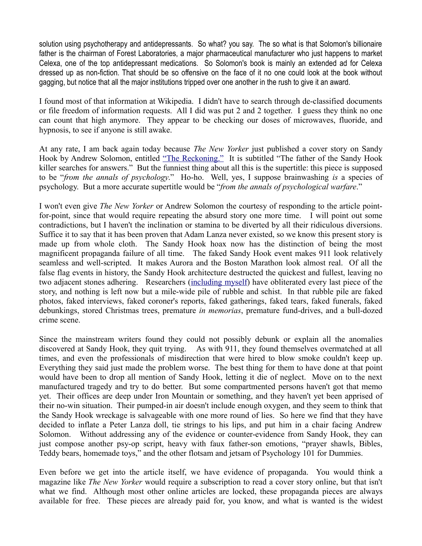solution using psychotherapy and antidepressants. So what? you say. The so what is that Solomon's billionaire father is the chairman of Forest Laboratories, a major pharmaceutical manufacturer who just happens to market Celexa, one of the top antidepressant medications. So Solomon's book is mainly an extended ad for Celexa dressed up as non-fiction. That should be so offensive on the face of it no one could look at the book without gagging, but notice that all the major institutions tripped over one another in the rush to give it an award.

I found most of that information at Wikipedia. I didn't have to search through de-classified documents or file freedom of information requests. All I did was put 2 and 2 together. I guess they think no one can count that high anymore. They appear to be checking our doses of microwaves, fluoride, and hypnosis, to see if anyone is still awake.

At any rate, I am back again today because *The New Yorker* just published a cover story on Sandy Hook by Andrew Solomon, entitled "The Reckoning." It is subtitled "The father of the Sandy Hook killer searches for answers." But the funniest thing about all this is the supertitle: this piece is supposed to be "*from the annals of psychology*." Ho-ho. Well, yes, I suppose brainwashing *is* a species of psychology. But a more accurate supertitle would be "*from the annals of psychological warfare*."

I won't even give *The New Yorker* or Andrew Solomon the courtesy of responding to the article pointfor-point, since that would require repeating the absurd story one more time. I will point out some contradictions, but I haven't the inclination or stamina to be diverted by all their ridiculous diversions. Suffice it to say that it has been proven that Adam Lanza never existed, so we know this present story is made up from whole cloth. The Sandy Hook hoax now has the distinction of being the most magnificent propaganda failure of all time. The faked Sandy Hook event makes 911 look relatively seamless and well-scripted. It makes Aurora and the Boston Marathon look almost real. Of all the false flag events in history, the Sandy Hook architecture destructed the quickest and fullest, leaving no two adjacent stones adhering. Researchers [\(including myself\)](http://mileswmathis.com/sh.pdf) have obliterated every last piece of the story, and nothing is left now but a mile-wide pile of rubble and schist. In that rubble pile are faked photos, faked interviews, faked coroner's reports, faked gatherings, faked tears, faked funerals, faked debunkings, stored Christmas trees, premature *in memorias*, premature fund-drives, and a bull-dozed crime scene.

Since the mainstream writers found they could not possibly debunk or explain all the anomalies discovered at Sandy Hook, they quit trying. As with 911, they found themselves overmatched at all times, and even the professionals of misdirection that were hired to blow smoke couldn't keep up. Everything they said just made the problem worse. The best thing for them to have done at that point would have been to drop all mention of Sandy Hook, letting it die of neglect. Move on to the next manufactured tragedy and try to do better. But some compartmented persons haven't got that memo yet. Their offices are deep under Iron Mountain or something, and they haven't yet been apprised of their no-win situation. Their pumped-in air doesn't include enough oxygen, and they seem to think that the Sandy Hook wreckage is salvageable with one more round of lies. So here we find that they have decided to inflate a Peter Lanza doll, tie strings to his lips, and put him in a chair facing Andrew Solomon. Without addressing any of the evidence or counter-evidence from Sandy Hook, they can just compose another psy-op script, heavy with faux father-son emotions, "prayer shawls, Bibles, Teddy bears, homemade toys," and the other flotsam and jetsam of Psychology 101 for Dummies.

Even before we get into the article itself, we have evidence of propaganda. You would think a magazine like *The New Yorker* would require a subscription to read a cover story online, but that isn't what we find. Although most other online articles are locked, these propaganda pieces are always available for free. These pieces are already paid for, you know, and what is wanted is the widest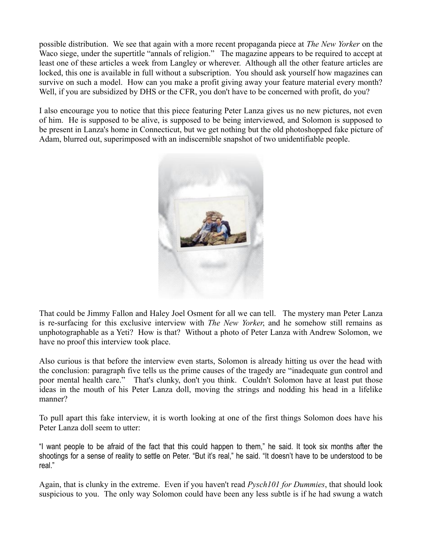possible distribution. We see that again with a more recent propaganda piece at *The New Yorker* on the Waco siege, under the supertitle "annals of religion." The magazine appears to be required to accept at least one of these articles a week from Langley or wherever. Although all the other feature articles are locked, this one is available in full without a subscription. You should ask yourself how magazines can survive on such a model. How can you make a profit giving away your feature material every month? Well, if you are subsidized by DHS or the CFR, you don't have to be concerned with profit, do you?

I also encourage you to notice that this piece featuring Peter Lanza gives us no new pictures, not even of him. He is supposed to be alive, is supposed to be being interviewed, and Solomon is supposed to be present in Lanza's home in Connecticut, but we get nothing but the old photoshopped fake picture of Adam, blurred out, superimposed with an indiscernible snapshot of two unidentifiable people.



That could be Jimmy Fallon and Haley Joel Osment for all we can tell. The mystery man Peter Lanza is re-surfacing for this exclusive interview with *The New Yorker*, and he somehow still remains as unphotographable as a Yeti? How is that? Without a photo of Peter Lanza with Andrew Solomon, we have no proof this interview took place.

Also curious is that before the interview even starts, Solomon is already hitting us over the head with the conclusion: paragraph five tells us the prime causes of the tragedy are "inadequate gun control and poor mental health care." That's clunky, don't you think. Couldn't Solomon have at least put those ideas in the mouth of his Peter Lanza doll, moving the strings and nodding his head in a lifelike manner?

To pull apart this fake interview, it is worth looking at one of the first things Solomon does have his Peter Lanza doll seem to utter:

"I want people to be afraid of the fact that this could happen to them," he said. It took six months after the shootings for a sense of reality to settle on Peter. "But it's real," he said. "It doesn't have to be understood to be real."

Again, that is clunky in the extreme. Even if you haven't read *Pysch101 for Dummies*, that should look suspicious to you. The only way Solomon could have been any less subtle is if he had swung a watch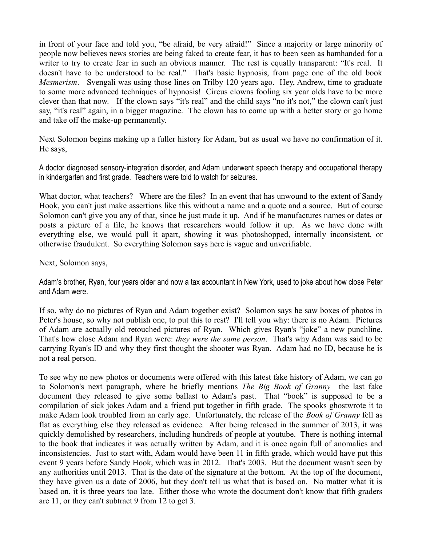in front of your face and told you, "be afraid, be very afraid!" Since a majority or large minority of people now believes news stories are being faked to create fear, it has to been seen as hamhanded for a writer to try to create fear in such an obvious manner. The rest is equally transparent: "It's real. It doesn't have to be understood to be real." That's basic hypnosis, from page one of the old book *Mesmerism*. Svengali was using those lines on Trilby 120 years ago. Hey, Andrew, time to graduate to some more advanced techniques of hypnosis! Circus clowns fooling six year olds have to be more clever than that now. If the clown says "it's real" and the child says "no it's not," the clown can't just say, "it's real" again, in a bigger magazine. The clown has to come up with a better story or go home and take off the make-up permanently.

Next Solomon begins making up a fuller history for Adam, but as usual we have no confirmation of it. He says,

A doctor diagnosed sensory-integration disorder, and Adam underwent speech therapy and occupational therapy in kindergarten and first grade. Teachers were told to watch for seizures.

What doctor, what teachers? Where are the files? In an event that has unwound to the extent of Sandy Hook, you can't just make assertions like this without a name and a quote and a source. But of course Solomon can't give you any of that, since he just made it up. And if he manufactures names or dates or posts a picture of a file, he knows that researchers would follow it up. As we have done with everything else, we would pull it apart, showing it was photoshopped, internally inconsistent, or otherwise fraudulent. So everything Solomon says here is vague and unverifiable.

Next, Solomon says,

Adam's brother, Ryan, four years older and now a tax accountant in New York, used to joke about how close Peter and Adam were.

If so, why do no pictures of Ryan and Adam together exist? Solomon says he saw boxes of photos in Peter's house, so why not publish one, to put this to rest? I'll tell you why: there is no Adam. Pictures of Adam are actually old retouched pictures of Ryan. Which gives Ryan's "joke" a new punchline. That's how close Adam and Ryan were: *they were the same person*. That's why Adam was said to be carrying Ryan's ID and why they first thought the shooter was Ryan. Adam had no ID, because he is not a real person.

To see why no new photos or documents were offered with this latest fake history of Adam, we can go to Solomon's next paragraph, where he briefly mentions *The Big Book of Granny*—the last fake document they released to give some ballast to Adam's past. That "book" is supposed to be a compilation of sick jokes Adam and a friend put together in fifth grade. The spooks ghostwrote it to make Adam look troubled from an early age. Unfortunately, the release of the *Book of Granny* fell as flat as everything else they released as evidence. After being released in the summer of 2013, it was quickly demolished by researchers, including hundreds of people at youtube. There is nothing internal to the book that indicates it was actually written by Adam, and it is once again full of anomalies and inconsistencies. Just to start with, Adam would have been 11 in fifth grade, which would have put this event 9 years before Sandy Hook, which was in 2012. That's 2003. But the document wasn't seen by any authorities until 2013. That is the date of the signature at the bottom. At the top of the document, they have given us a date of 2006, but they don't tell us what that is based on. No matter what it is based on, it is three years too late. Either those who wrote the document don't know that fifth graders are 11, or they can't subtract 9 from 12 to get 3.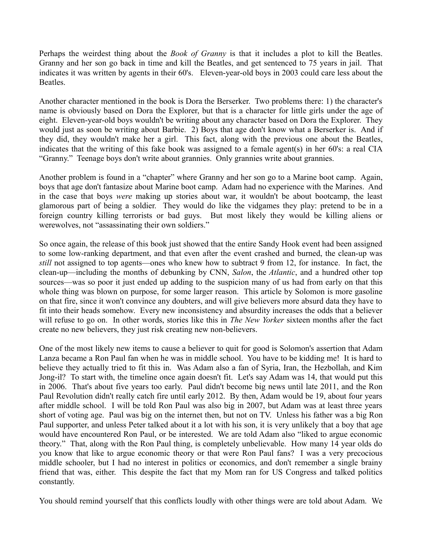Perhaps the weirdest thing about the *Book of Granny* is that it includes a plot to kill the Beatles. Granny and her son go back in time and kill the Beatles, and get sentenced to 75 years in jail. That indicates it was written by agents in their 60's. Eleven-year-old boys in 2003 could care less about the **Beatles** 

Another character mentioned in the book is Dora the Berserker. Two problems there: 1) the character's name is obviously based on Dora the Explorer, but that is a character for little girls under the age of eight. Eleven-year-old boys wouldn't be writing about any character based on Dora the Explorer. They would just as soon be writing about Barbie. 2) Boys that age don't know what a Berserker is. And if they did, they wouldn't make her a girl. This fact, along with the previous one about the Beatles, indicates that the writing of this fake book was assigned to a female agent(s) in her 60's: a real CIA "Granny." Teenage boys don't write about grannies. Only grannies write about grannies.

Another problem is found in a "chapter" where Granny and her son go to a Marine boot camp. Again, boys that age don't fantasize about Marine boot camp. Adam had no experience with the Marines. And in the case that boys *were* making up stories about war, it wouldn't be about bootcamp, the least glamorous part of being a soldier. They would do like the vidgames they play: pretend to be in a foreign country killing terrorists or bad guys. But most likely they would be killing aliens or werewolves, not "assassinating their own soldiers."

So once again, the release of this book just showed that the entire Sandy Hook event had been assigned to some low-ranking department, and that even after the event crashed and burned, the clean-up was *still* not assigned to top agents—ones who knew how to subtract 9 from 12, for instance. In fact, the clean-up—including the months of debunking by CNN, *Salon*, the *Atlantic*, and a hundred other top sources—was so poor it just ended up adding to the suspicion many of us had from early on that this whole thing was blown on purpose, for some larger reason. This article by Solomon is more gasoline on that fire, since it won't convince any doubters, and will give believers more absurd data they have to fit into their heads somehow. Every new inconsistency and absurdity increases the odds that a believer will refuse to go on. In other words, stories like this in *The New Yorker* sixteen months after the fact create no new believers, they just risk creating new non-believers.

One of the most likely new items to cause a believer to quit for good is Solomon's assertion that Adam Lanza became a Ron Paul fan when he was in middle school. You have to be kidding me! It is hard to believe they actually tried to fit this in. Was Adam also a fan of Syria, Iran, the Hezbollah, and Kim Jong-il? To start with, the timeline once again doesn't fit. Let's say Adam was 14, that would put this in 2006. That's about five years too early. Paul didn't become big news until late 2011, and the Ron Paul Revolution didn't really catch fire until early 2012. By then, Adam would be 19, about four years after middle school. I will be told Ron Paul was also big in 2007, but Adam was at least three years short of voting age. Paul was big on the internet then, but not on TV. Unless his father was a big Ron Paul supporter, and unless Peter talked about it a lot with his son, it is very unlikely that a boy that age would have encountered Ron Paul, or be interested. We are told Adam also "liked to argue economic theory." That, along with the Ron Paul thing, is completely unbelievable. How many 14 year olds do you know that like to argue economic theory or that were Ron Paul fans? I was a very precocious middle schooler, but I had no interest in politics or economics, and don't remember a single brainy friend that was, either. This despite the fact that my Mom ran for US Congress and talked politics constantly.

You should remind yourself that this conflicts loudly with other things were are told about Adam. We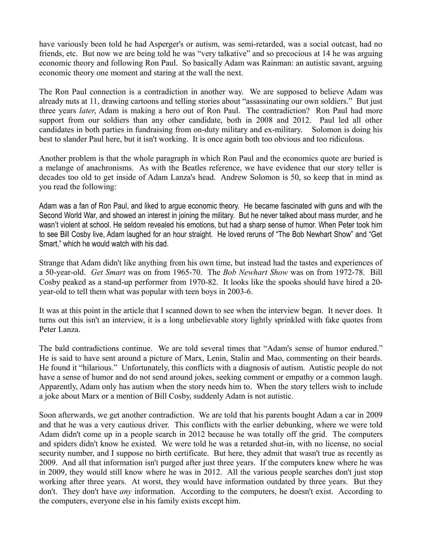have variously been told he had Asperger's or autism, was semi-retarded, was a social outcast, had no friends, etc. But now we are being told he was "very talkative" and so precocious at 14 he was arguing economic theory and following Ron Paul. So basically Adam was Rainman: an autistic savant, arguing economic theory one moment and staring at the wall the next.

The Ron Paul connection is a contradiction in another way. We are supposed to believe Adam was already nuts at 11, drawing cartoons and telling stories about "assassinating our own soldiers." But just three years *later*, Adam is making a hero out of Ron Paul. The contradiction? Ron Paul had more support from our soldiers than any other candidate, both in 2008 and 2012. Paul led all other candidates in both parties in fundraising from on-duty military and ex-military. Solomon is doing his best to slander Paul here, but it isn't working. It is once again both too obvious and too ridiculous.

Another problem is that the whole paragraph in which Ron Paul and the economics quote are buried is a melange of anachronisms. As with the Beatles reference, we have evidence that our story teller is decades too old to get inside of Adam Lanza's head. Andrew Solomon is 50, so keep that in mind as you read the following:

Adam was a fan of Ron Paul, and liked to argue economic theory. He became fascinated with guns and with the Second World War, and showed an interest in joining the military. But he never talked about mass murder, and he wasn't violent at school. He seldom revealed his emotions, but had a sharp sense of humor. When Peter took him to see Bill Cosby live, Adam laughed for an hour straight. He loved reruns of "The Bob Newhart Show" and "Get Smart," which he would watch with his dad.

Strange that Adam didn't like anything from his own time, but instead had the tastes and experiences of a 50-year-old. *Get Smart* was on from 1965-70. The *Bob Newhart Show* was on from 1972-78. Bill Cosby peaked as a stand-up performer from 1970-82. It looks like the spooks should have hired a 20 year-old to tell them what was popular with teen boys in 2003-6.

It was at this point in the article that I scanned down to see when the interview began. It never does. It turns out this isn't an interview, it is a long unbelievable story lightly sprinkled with fake quotes from Peter Lanza.

The bald contradictions continue. We are told several times that "Adam's sense of humor endured." He is said to have sent around a picture of Marx, Lenin, Stalin and Mao, commenting on their beards. He found it "hilarious." Unfortunately, this conflicts with a diagnosis of autism. Autistic people do not have a sense of humor and do not send around jokes, seeking comment or empathy or a common laugh. Apparently, Adam only has autism when the story needs him to. When the story tellers wish to include a joke about Marx or a mention of Bill Cosby, suddenly Adam is not autistic.

Soon afterwards, we get another contradiction. We are told that his parents bought Adam a car in 2009 and that he was a very cautious driver. This conflicts with the earlier debunking, where we were told Adam didn't come up in a people search in 2012 because he was totally off the grid. The computers and spiders didn't know he existed. We were told he was a retarded shut-in, with no license, no social security number, and I suppose no birth certificate. But here, they admit that wasn't true as recently as 2009. And all that information isn't purged after just three years. If the computers knew where he was in 2009, they would still know where he was in 2012. All the various people searches don't just stop working after three years. At worst, they would have information outdated by three years. But they don't. They don't have *any* information. According to the computers, he doesn't exist. According to the computers, everyone else in his family exists except him.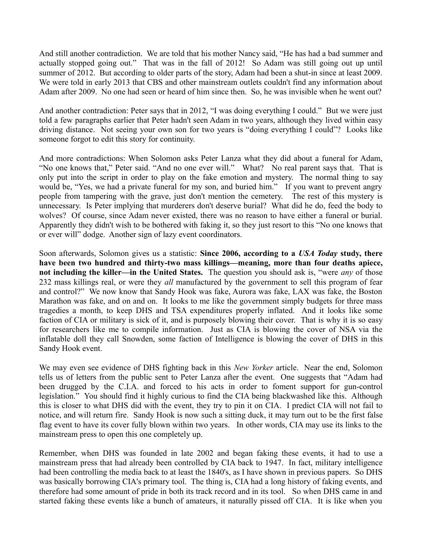And still another contradiction. We are told that his mother Nancy said, "He has had a bad summer and actually stopped going out." That was in the fall of 2012! So Adam was still going out up until summer of 2012. But according to older parts of the story, Adam had been a shut-in since at least 2009. We were told in early 2013 that CBS and other mainstream outlets couldn't find any information about Adam after 2009. No one had seen or heard of him since then. So, he was invisible when he went out?

And another contradiction: Peter says that in 2012, "I was doing everything I could." But we were just told a few paragraphs earlier that Peter hadn't seen Adam in two years, although they lived within easy driving distance. Not seeing your own son for two years is "doing everything I could"? Looks like someone forgot to edit this story for continuity.

And more contradictions: When Solomon asks Peter Lanza what they did about a funeral for Adam, "No one knows that," Peter said. "And no one ever will." What? No real parent says that. That is only put into the script in order to play on the fake emotion and mystery. The normal thing to say would be, "Yes, we had a private funeral for my son, and buried him." If you want to prevent angry people from tampering with the grave, just don't mention the cemetery. The rest of this mystery is unnecessary. Is Peter implying that murderers don't deserve burial? What did he do, feed the body to wolves? Of course, since Adam never existed, there was no reason to have either a funeral or burial. Apparently they didn't wish to be bothered with faking it, so they just resort to this "No one knows that or ever will" dodge. Another sign of lazy event coordinators.

Soon afterwards, Solomon gives us a statistic: **Since 2006, according to a** *USA Today* **study, there have been two hundred and thirty-two mass killings—meaning, more than four deaths apiece, not including the killer—in the United States.** The question you should ask is, "were *any* of those 232 mass killings real, or were they *all* manufactured by the government to sell this program of fear and control?" We now know that Sandy Hook was fake, Aurora was fake, LAX was fake, the Boston Marathon was fake, and on and on. It looks to me like the government simply budgets for three mass tragedies a month, to keep DHS and TSA expenditures properly inflated. And it looks like some faction of CIA or military is sick of it, and is purposely blowing their cover. That is why it is so easy for researchers like me to compile information. Just as CIA is blowing the cover of NSA via the inflatable doll they call Snowden, some faction of Intelligence is blowing the cover of DHS in this Sandy Hook event.

We may even see evidence of DHS fighting back in this *New Yorker* article. Near the end, Solomon tells us of letters from the public sent to Peter Lanza after the event. One suggests that "Adam had been drugged by the C.I.A. and forced to his acts in order to foment support for gun-control legislation." You should find it highly curious to find the CIA being blackwashed like this. Although this is closer to what DHS did with the event, they try to pin it on CIA. I predict CIA will not fail to notice, and will return fire. Sandy Hook is now such a sitting duck, it may turn out to be the first false flag event to have its cover fully blown within two years. In other words, CIA may use its links to the mainstream press to open this one completely up.

Remember, when DHS was founded in late 2002 and began faking these events, it had to use a mainstream press that had already been controlled by CIA back to 1947. In fact, military intelligence had been controlling the media back to at least the 1840's, as I have shown in previous papers. So DHS was basically borrowing CIA's primary tool. The thing is, CIA had a long history of faking events, and therefore had some amount of pride in both its track record and in its tool. So when DHS came in and started faking these events like a bunch of amateurs, it naturally pissed off CIA. It is like when you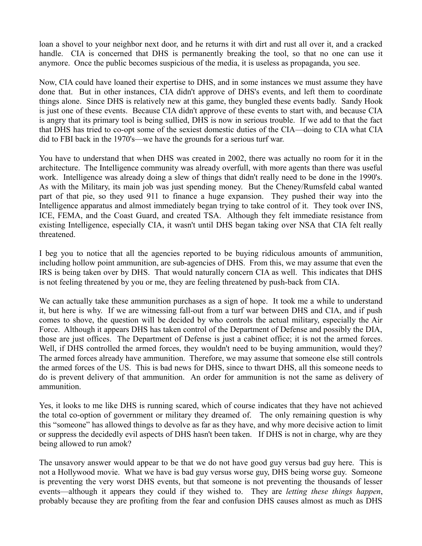loan a shovel to your neighbor next door, and he returns it with dirt and rust all over it, and a cracked handle. CIA is concerned that DHS is permanently breaking the tool, so that no one can use it anymore. Once the public becomes suspicious of the media, it is useless as propaganda, you see.

Now, CIA could have loaned their expertise to DHS, and in some instances we must assume they have done that. But in other instances, CIA didn't approve of DHS's events, and left them to coordinate things alone. Since DHS is relatively new at this game, they bungled these events badly. Sandy Hook is just one of these events. Because CIA didn't approve of these events to start with, and because CIA is angry that its primary tool is being sullied, DHS is now in serious trouble. If we add to that the fact that DHS has tried to co-opt some of the sexiest domestic duties of the CIA—doing to CIA what CIA did to FBI back in the 1970's—we have the grounds for a serious turf war.

You have to understand that when DHS was created in 2002, there was actually no room for it in the architecture. The Intelligence community was already overfull, with more agents than there was useful work. Intelligence was already doing a slew of things that didn't really need to be done in the 1990's. As with the Military, its main job was just spending money. But the Cheney/Rumsfeld cabal wanted part of that pie, so they used 911 to finance a huge expansion. They pushed their way into the Intelligence apparatus and almost immediately began trying to take control of it. They took over INS, ICE, FEMA, and the Coast Guard, and created TSA. Although they felt immediate resistance from existing Intelligence, especially CIA, it wasn't until DHS began taking over NSA that CIA felt really threatened.

I beg you to notice that all the agencies reported to be buying ridiculous amounts of ammunition, including hollow point ammunition, are sub-agencies of DHS. From this, we may assume that even the IRS is being taken over by DHS. That would naturally concern CIA as well. This indicates that DHS is not feeling threatened by you or me, they are feeling threatened by push-back from CIA.

We can actually take these ammunition purchases as a sign of hope. It took me a while to understand it, but here is why. If we are witnessing fall-out from a turf war between DHS and CIA, and if push comes to shove, the question will be decided by who controls the actual military, especially the Air Force. Although it appears DHS has taken control of the Department of Defense and possibly the DIA, those are just offices. The Department of Defense is just a cabinet office; it is not the armed forces. Well, if DHS controlled the armed forces, they wouldn't need to be buying ammunition, would they? The armed forces already have ammunition. Therefore, we may assume that someone else still controls the armed forces of the US. This is bad news for DHS, since to thwart DHS, all this someone needs to do is prevent delivery of that ammunition. An order for ammunition is not the same as delivery of ammunition.

Yes, it looks to me like DHS is running scared, which of course indicates that they have not achieved the total co-option of government or military they dreamed of. The only remaining question is why this "someone" has allowed things to devolve as far as they have, and why more decisive action to limit or suppress the decidedly evil aspects of DHS hasn't been taken. If DHS is not in charge, why are they being allowed to run amok?

The unsavory answer would appear to be that we do not have good guy versus bad guy here. This is not a Hollywood movie. What we have is bad guy versus worse guy, DHS being worse guy. Someone is preventing the very worst DHS events, but that someone is not preventing the thousands of lesser events—although it appears they could if they wished to. They are *letting these things happen*, probably because they are profiting from the fear and confusion DHS causes almost as much as DHS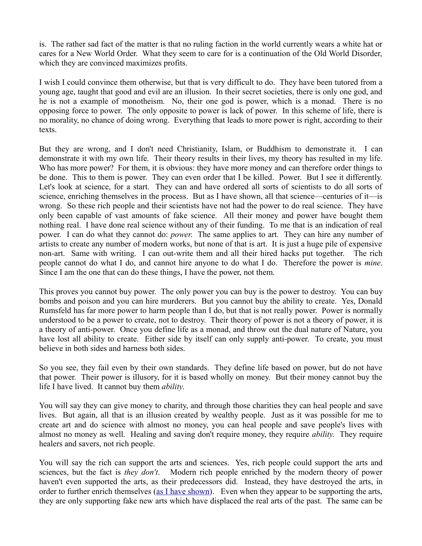is. The rather sad fact of the matter is that no ruling faction in the world currently wears a white hat or cares for a New World Order. What they seem to care for is a continuation of the Old World Disorder, which they are convinced maximizes profits.

I wish I could convince them otherwise, but that is very difficult to do. They have been tutored from a young age, taught that good and evil are an illusion. In their secret societies, there is only one god, and he is not a example of monotheism. No, their one god is power, which is a monad. There is no opposing force to power. The only opposite to power is lack of power. In this scheme of life, there is no morality, no chance of doing wrong. Everything that leads to more power is right, according to their texts.

But they are wrong, and I don't need Christianity, Islam, or Buddhism to demonstrate it. I can demonstrate it with my own life. Their theory results in their lives, my theory has resulted in my life. Who has more power? For them, it is obvious: they have more money and can therefore order things to be done. This to them is power. They can even order that I be killed. Power. But I see it differently. Let's look at science, for a start. They can and have ordered all sorts of scientists to do all sorts of science, enriching themselves in the process. But as I have shown, all that science—centuries of it—is wrong. So these rich people and their scientists have not had the power to do real science. They have only been capable of vast amounts of fake science. All their money and power have bought them nothing real. I have done real science without any of their funding. To me that is an indication of real power. I can do what they cannot do: *power*. The same applies to art. They can hire any number of artists to create any number of modern works, but none of that is art. It is just a huge pile of expensive non-art. Same with writing. I can out-write them and all their hired hacks put together. The rich people cannot do what I do, and cannot hire anyone to do what I do. Therefore the power is *mine*. Since I am the one that can do these things, I have the power, not them.

This proves you cannot buy power. The only power you can buy is the power to destroy. You can buy bombs and poison and you can hire murderers. But you cannot buy the ability to create. Yes, Donald Rumsfeld has far more power to harm people than I do, but that is not really power. Power is normally understood to be a power to create, not to destroy. Their theory of power is not a theory of power, it is a theory of anti-power. Once you define life as a monad, and throw out the dual nature of Nature, you have lost all ability to create. Either side by itself can only supply anti-power. To create, you must believe in both sides and harness both sides.

So you see, they fail even by their own standards. They define life based on power, but do not have that power. Their power is illusory, for it is based wholly on money. But their money cannot buy the life I have lived. It cannot buy them *ability*.

You will say they can give money to charity, and through those charities they can heal people and save lives. But again, all that is an illusion created by wealthy people. Just as it was possible for me to create art and do science with almost no money, you can heal people and save people's lives with almost no money as well. Healing and saving don't require money, they require *ability*. They require healers and savers, not rich people.

You will say the rich can support the arts and sciences. Yes, rich people could support the arts and sciences, but the fact is *they don't*. Modern rich people enriched by the modern theory of power haven't even supported the arts, as their predecessors did. Instead, they have destroyed the arts, in order to further enrich themselves [\(as I have shown\)](http://mileswmathis.com/launder.pdf). Even when they appear to be supporting the arts, they are only supporting fake new arts which have displaced the real arts of the past. The same can be